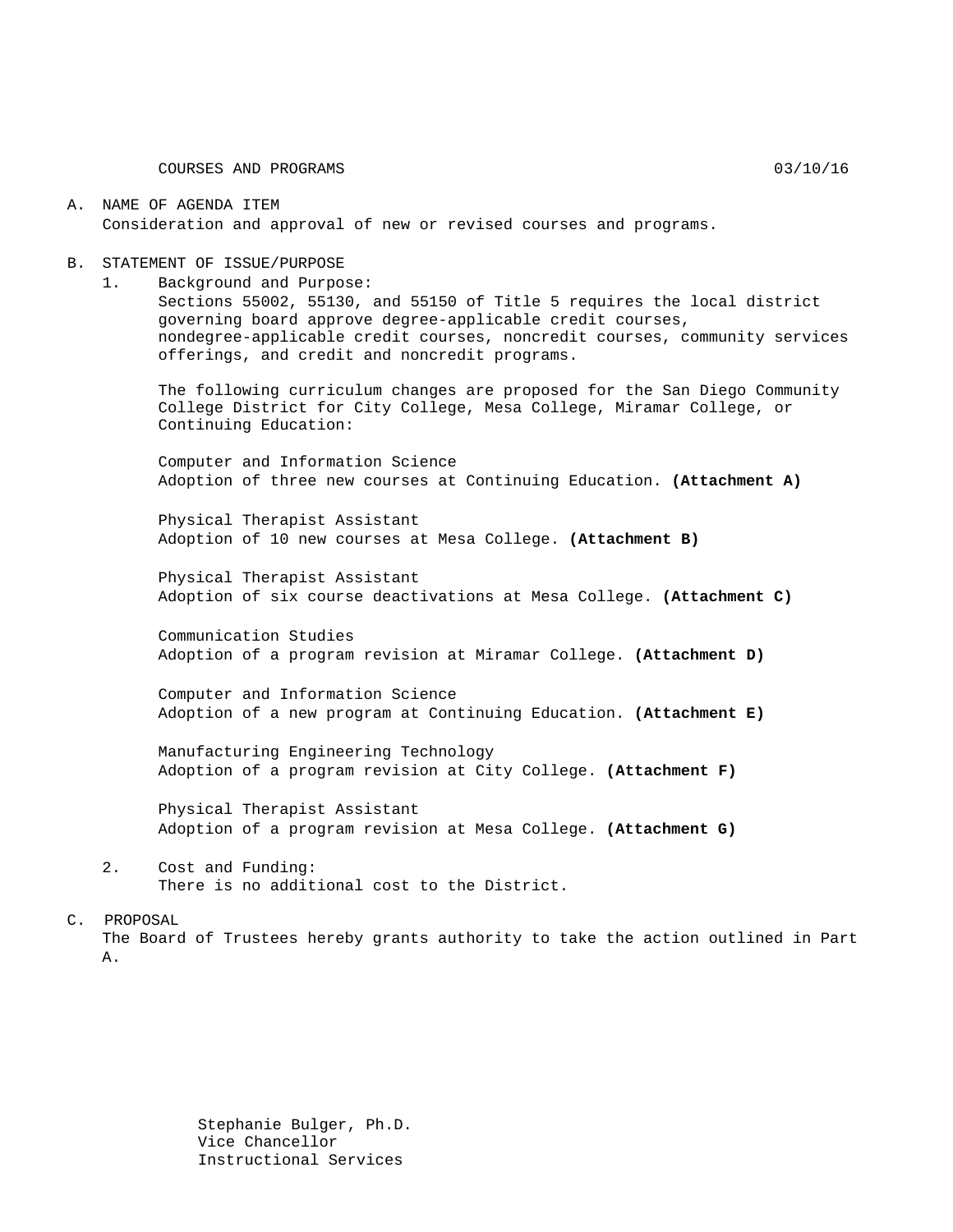#### A. NAME OF AGENDA ITEM Consideration and approval of new or revised courses and programs.

#### B. STATEMENT OF ISSUE/PURPOSE

1. Background and Purpose:

Sections 55002, 55130, and 55150 of Title 5 requires the local district governing board approve degree-applicable credit courses, nondegree-applicable credit courses, noncredit courses, community services offerings, and credit and noncredit programs.

The following curriculum changes are proposed for the San Diego Community College District for City College, Mesa College, Miramar College, or Continuing Education:

Computer and Information Science Adoption of three new courses at Continuing Education. **(Attachment A)**

Physical Therapist Assistant Adoption of 10 new courses at Mesa College. **(Attachment B)**

Physical Therapist Assistant Adoption of six course deactivations at Mesa College. **(Attachment C)**

Communication Studies Adoption of a program revision at Miramar College. **(Attachment D)**

Computer and Information Science Adoption of a new program at Continuing Education. **(Attachment E)**

Manufacturing Engineering Technology Adoption of a program revision at City College. **(Attachment F)**

Physical Therapist Assistant Adoption of a program revision at Mesa College. **(Attachment G)**

2. Cost and Funding: There is no additional cost to the District.

#### C. PROPOSAL

The Board of Trustees hereby grants authority to take the action outlined in Part A.

> Stephanie Bulger, Ph.D. Vice Chancellor Instructional Services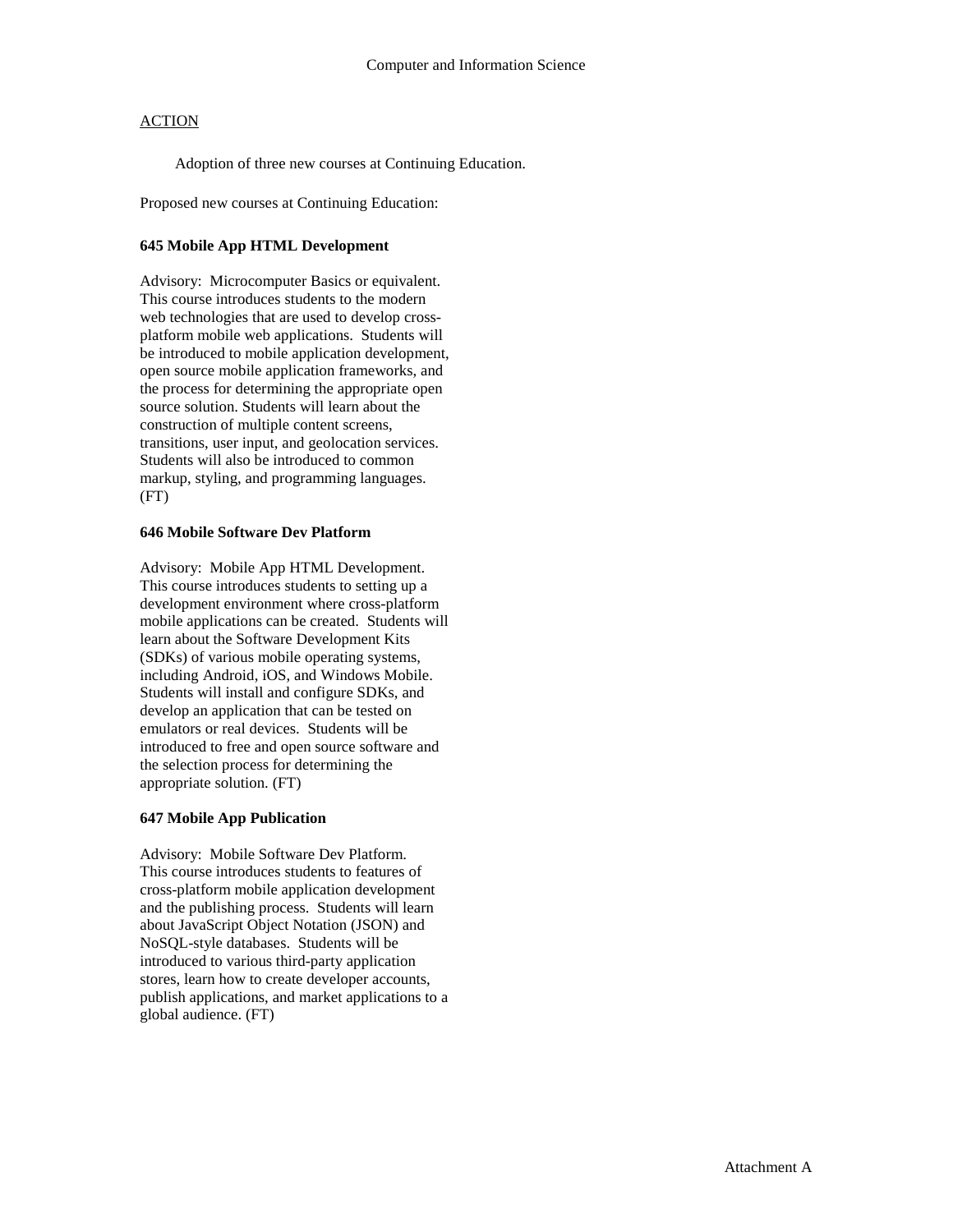Adoption of three new courses at Continuing Education.

Proposed new courses at Continuing Education:

#### **645 Mobile App HTML Development**

Advisory: Microcomputer Basics or equivalent. This course introduces students to the modern web technologies that are used to develop crossplatform mobile web applications. Students will be introduced to mobile application development, open source mobile application frameworks, and the process for determining the appropriate open source solution. Students will learn about the construction of multiple content screens, transitions, user input, and geolocation services. Students will also be introduced to common markup, styling, and programming languages. (FT)

#### **646 Mobile Software Dev Platform**

Advisory: Mobile App HTML Development. This course introduces students to setting up a development environment where cross-platform mobile applications can be created. Students will learn about the Software Development Kits (SDKs) of various mobile operating systems, including Android, iOS, and Windows Mobile. Students will install and configure SDKs, and develop an application that can be tested on emulators or real devices. Students will be introduced to free and open source software and the selection process for determining the appropriate solution. (FT)

#### **647 Mobile App Publication**

Advisory: Mobile Software Dev Platform. This course introduces students to features of cross-platform mobile application development and the publishing process. Students will learn about JavaScript Object Notation (JSON) and NoSQL-style databases. Students will be introduced to various third-party application stores, learn how to create developer accounts, publish applications, and market applications to a global audience. (FT)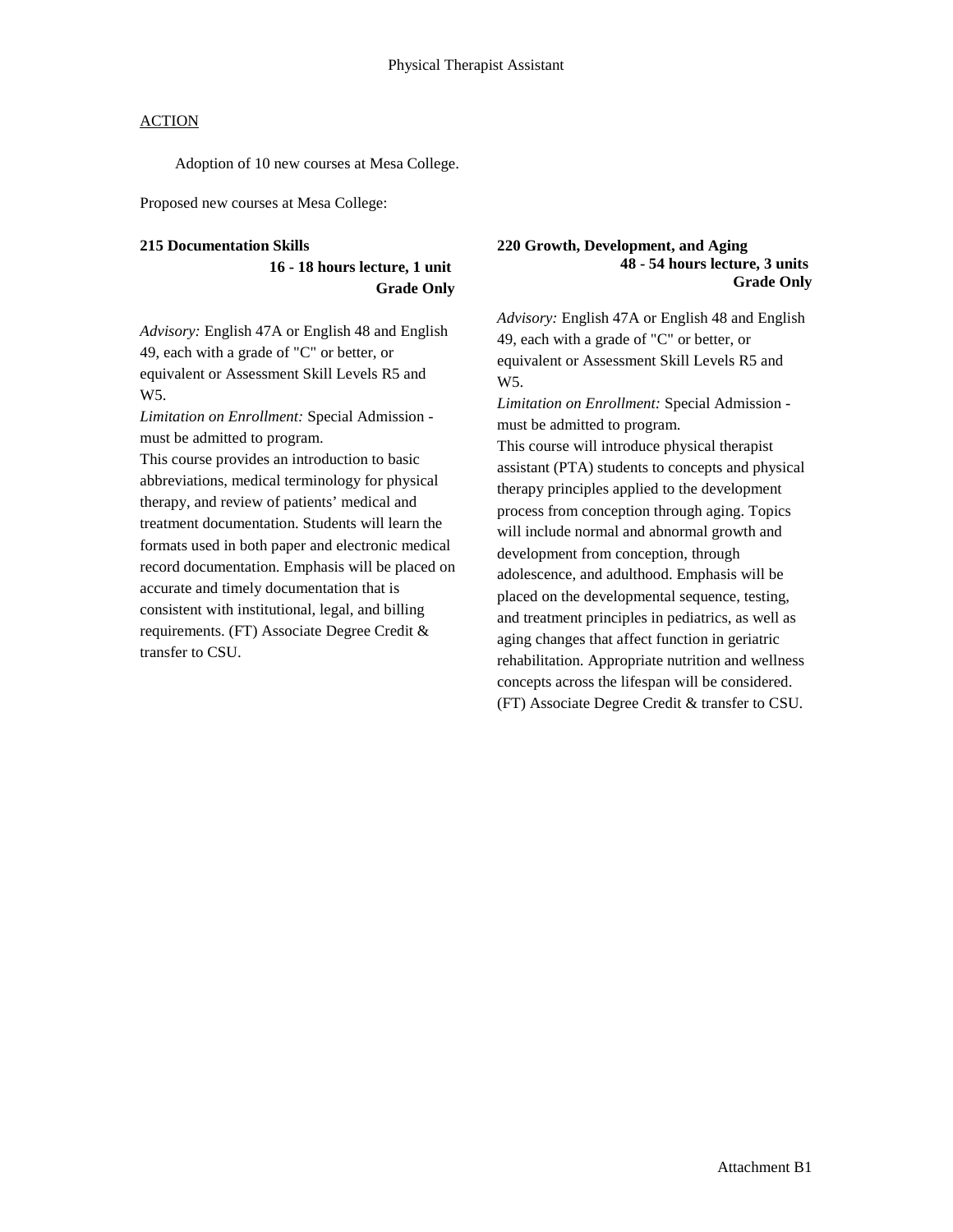Adoption of 10 new courses at Mesa College.

Proposed new courses at Mesa College:

#### **215 Documentation Skills**

**16 - 18 hours lecture, 1 unit Grade Only**

*Advisory:* English 47A or English 48 and English 49, each with a grade of "C" or better, or equivalent or Assessment Skill Levels R5 and W5.

*Limitation on Enrollment:* Special Admission must be admitted to program.

This course provides an introduction to basic abbreviations, medical terminology for physical therapy, and review of patients' medical and treatment documentation. Students will learn the formats used in both paper and electronic medical record documentation. Emphasis will be placed on accurate and timely documentation that is consistent with institutional, legal, and billing requirements. (FT) Associate Degree Credit & transfer to CSU.

#### **220 Growth, Development, and Aging 48 - 54 hours lecture, 3 units Grade Only**

*Advisory:* English 47A or English 48 and English 49, each with a grade of "C" or better, or equivalent or Assessment Skill Levels R5 and W5.

*Limitation on Enrollment:* Special Admission must be admitted to program.

This course will introduce physical therapist assistant (PTA) students to concepts and physical therapy principles applied to the development process from conception through aging. Topics will include normal and abnormal growth and development from conception, through adolescence, and adulthood. Emphasis will be placed on the developmental sequence, testing, and treatment principles in pediatrics, as well as aging changes that affect function in geriatric rehabilitation. Appropriate nutrition and wellness concepts across the lifespan will be considered. (FT) Associate Degree Credit & transfer to CSU.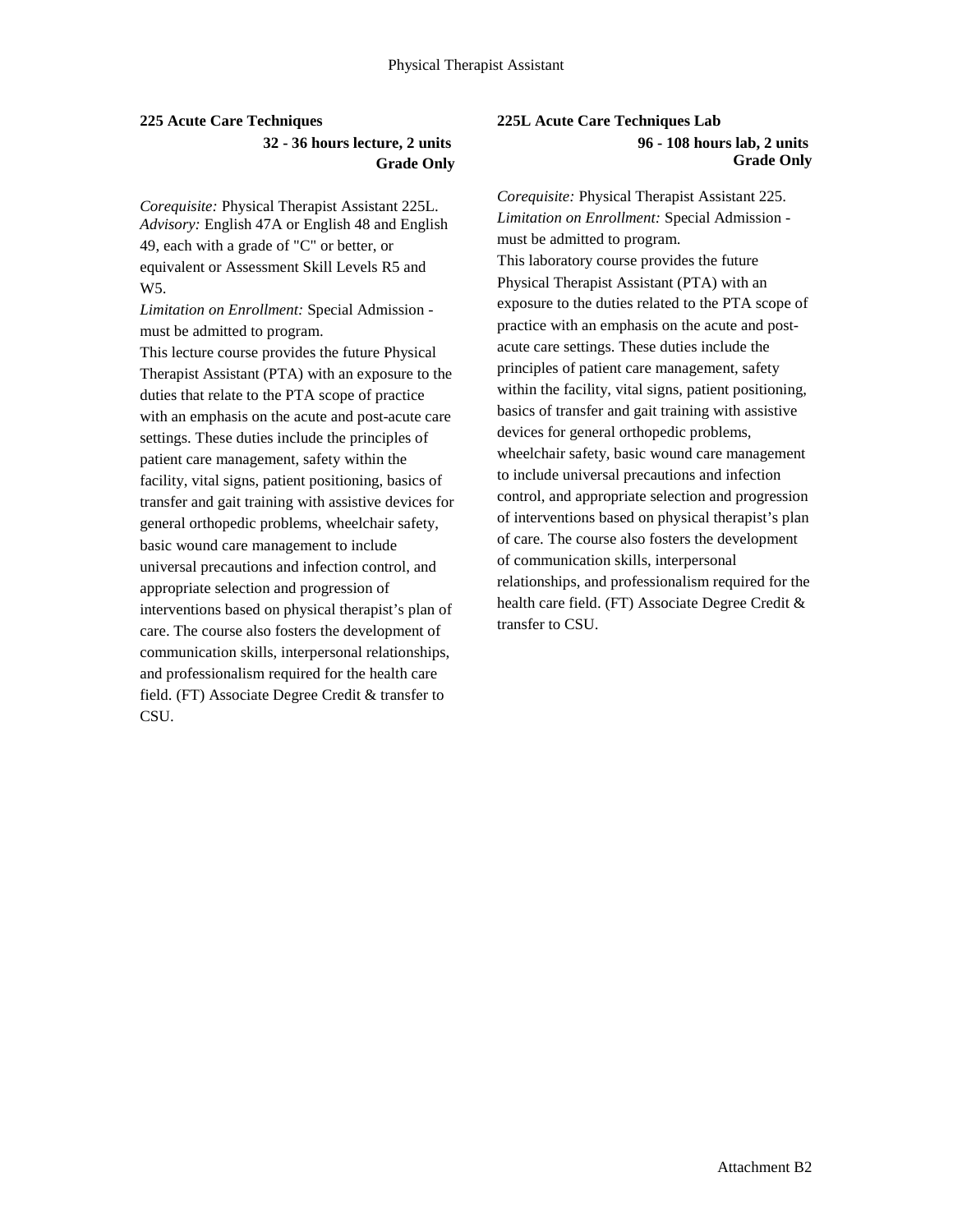# **225 Acute Care Techniques 32 - 36 hours lecture, 2 units Grade Only**

*Corequisite:* Physical Therapist Assistant 225L. *Advisory:* English 47A or English 48 and English 49, each with a grade of "C" or better, or equivalent or Assessment Skill Levels R5 and W5.

*Limitation on Enrollment:* Special Admission must be admitted to program.

This lecture course provides the future Physical Therapist Assistant (PTA) with an exposure to the duties that relate to the PTA scope of practice with an emphasis on the acute and post-acute care settings. These duties include the principles of patient care management, safety within the facility, vital signs, patient positioning, basics of transfer and gait training with assistive devices for general orthopedic problems, wheelchair safety, basic wound care management to include universal precautions and infection control, and appropriate selection and progression of interventions based on physical therapist's plan of care. The course also fosters the development of communication skills, interpersonal relationships, and professionalism required for the health care field. (FT) Associate Degree Credit & transfer to CSU.

### **225L Acute Care Techniques Lab 96 - 108 hours lab, 2 units Grade Only**

*Corequisite:* Physical Therapist Assistant 225. *Limitation on Enrollment:* Special Admission must be admitted to program. This laboratory course provides the future Physical Therapist Assistant (PTA) with an exposure to the duties related to the PTA scope of practice with an emphasis on the acute and postacute care settings. These duties include the principles of patient care management, safety within the facility, vital signs, patient positioning, basics of transfer and gait training with assistive devices for general orthopedic problems, wheelchair safety, basic wound care management to include universal precautions and infection control, and appropriate selection and progression of interventions based on physical therapist's plan of care. The course also fosters the development of communication skills, interpersonal relationships, and professionalism required for the health care field. (FT) Associate Degree Credit & transfer to CSU.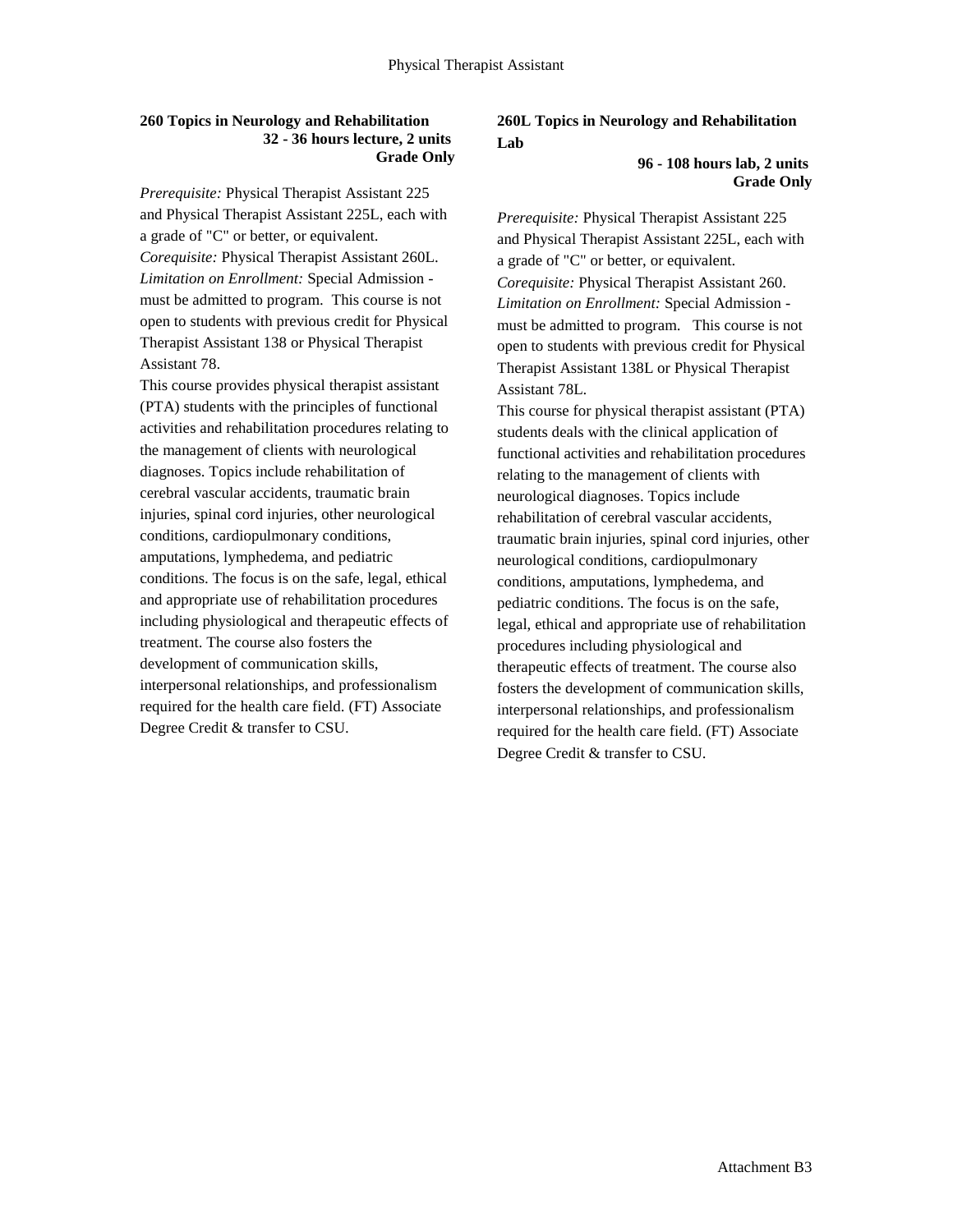#### **260 Topics in Neurology and Rehabilitation 32 - 36 hours lecture, 2 units Grade Only**

*Prerequisite:* Physical Therapist Assistant 225 and Physical Therapist Assistant 225L, each with a grade of "C" or better, or equivalent. *Corequisite:* Physical Therapist Assistant 260L. *Limitation on Enrollment:* Special Admission must be admitted to program. This course is not open to students with previous credit for Physical Therapist Assistant 138 or Physical Therapist Assistant 78.

This course provides physical therapist assistant (PTA) students with the principles of functional activities and rehabilitation procedures relating to the management of clients with neurological diagnoses. Topics include rehabilitation of cerebral vascular accidents, traumatic brain injuries, spinal cord injuries, other neurological conditions, cardiopulmonary conditions, amputations, lymphedema, and pediatric conditions. The focus is on the safe, legal, ethical and appropriate use of rehabilitation procedures including physiological and therapeutic effects of treatment. The course also fosters the development of communication skills, interpersonal relationships, and professionalism required for the health care field. (FT) Associate Degree Credit & transfer to CSU.

## **260L Topics in Neurology and Rehabilitation Lab**

#### **96 - 108 hours lab, 2 units Grade Only**

*Prerequisite:* Physical Therapist Assistant 225 and Physical Therapist Assistant 225L, each with a grade of "C" or better, or equivalent. *Corequisite:* Physical Therapist Assistant 260. *Limitation on Enrollment:* Special Admission must be admitted to program. This course is not open to students with previous credit for Physical Therapist Assistant 138L or Physical Therapist Assistant 78L.

This course for physical therapist assistant (PTA) students deals with the clinical application of functional activities and rehabilitation procedures relating to the management of clients with neurological diagnoses. Topics include rehabilitation of cerebral vascular accidents, traumatic brain injuries, spinal cord injuries, other neurological conditions, cardiopulmonary conditions, amputations, lymphedema, and pediatric conditions. The focus is on the safe, legal, ethical and appropriate use of rehabilitation procedures including physiological and therapeutic effects of treatment. The course also fosters the development of communication skills, interpersonal relationships, and professionalism required for the health care field. (FT) Associate Degree Credit & transfer to CSU.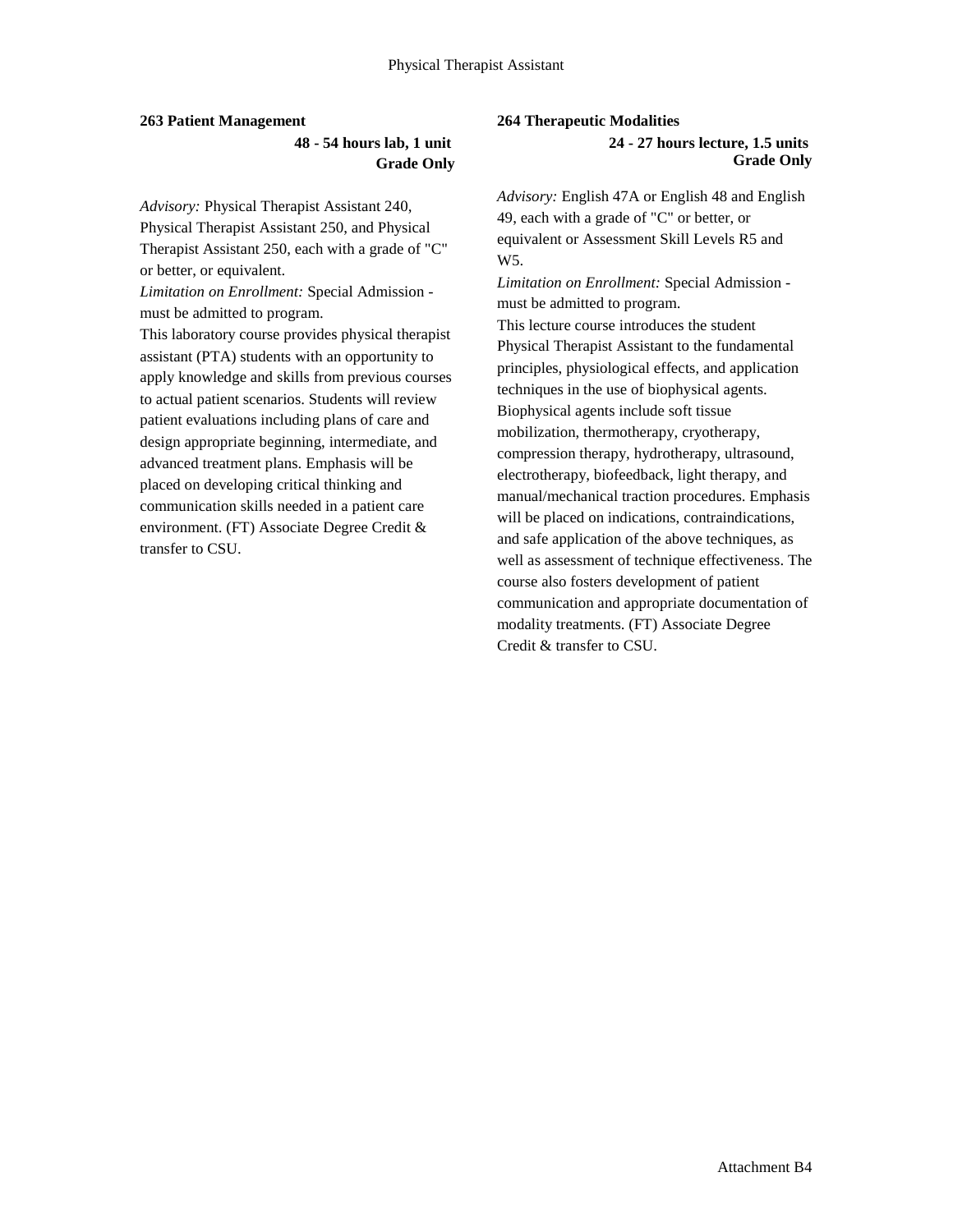#### **263 Patient Management**

**48 - 54 hours lab, 1 unit Grade Only**

*Advisory:* Physical Therapist Assistant 240, Physical Therapist Assistant 250, and Physical Therapist Assistant 250, each with a grade of "C" or better, or equivalent.

*Limitation on Enrollment:* Special Admission must be admitted to program.

This laboratory course provides physical therapist assistant (PTA) students with an opportunity to apply knowledge and skills from previous courses to actual patient scenarios. Students will review patient evaluations including plans of care and design appropriate beginning, intermediate, and advanced treatment plans. Emphasis will be placed on developing critical thinking and communication skills needed in a patient care environment. (FT) Associate Degree Credit & transfer to CSU.

#### **264 Therapeutic Modalities**

**24 - 27 hours lecture, 1.5 units Grade Only**

*Advisory:* English 47A or English 48 and English 49, each with a grade of "C" or better, or equivalent or Assessment Skill Levels R5 and W5.

*Limitation on Enrollment:* Special Admission must be admitted to program.

This lecture course introduces the student Physical Therapist Assistant to the fundamental principles, physiological effects, and application techniques in the use of biophysical agents. Biophysical agents include soft tissue mobilization, thermotherapy, cryotherapy, compression therapy, hydrotherapy, ultrasound, electrotherapy, biofeedback, light therapy, and manual/mechanical traction procedures. Emphasis will be placed on indications, contraindications, and safe application of the above techniques, as well as assessment of technique effectiveness. The course also fosters development of patient communication and appropriate documentation of modality treatments. (FT) Associate Degree Credit & transfer to CSU.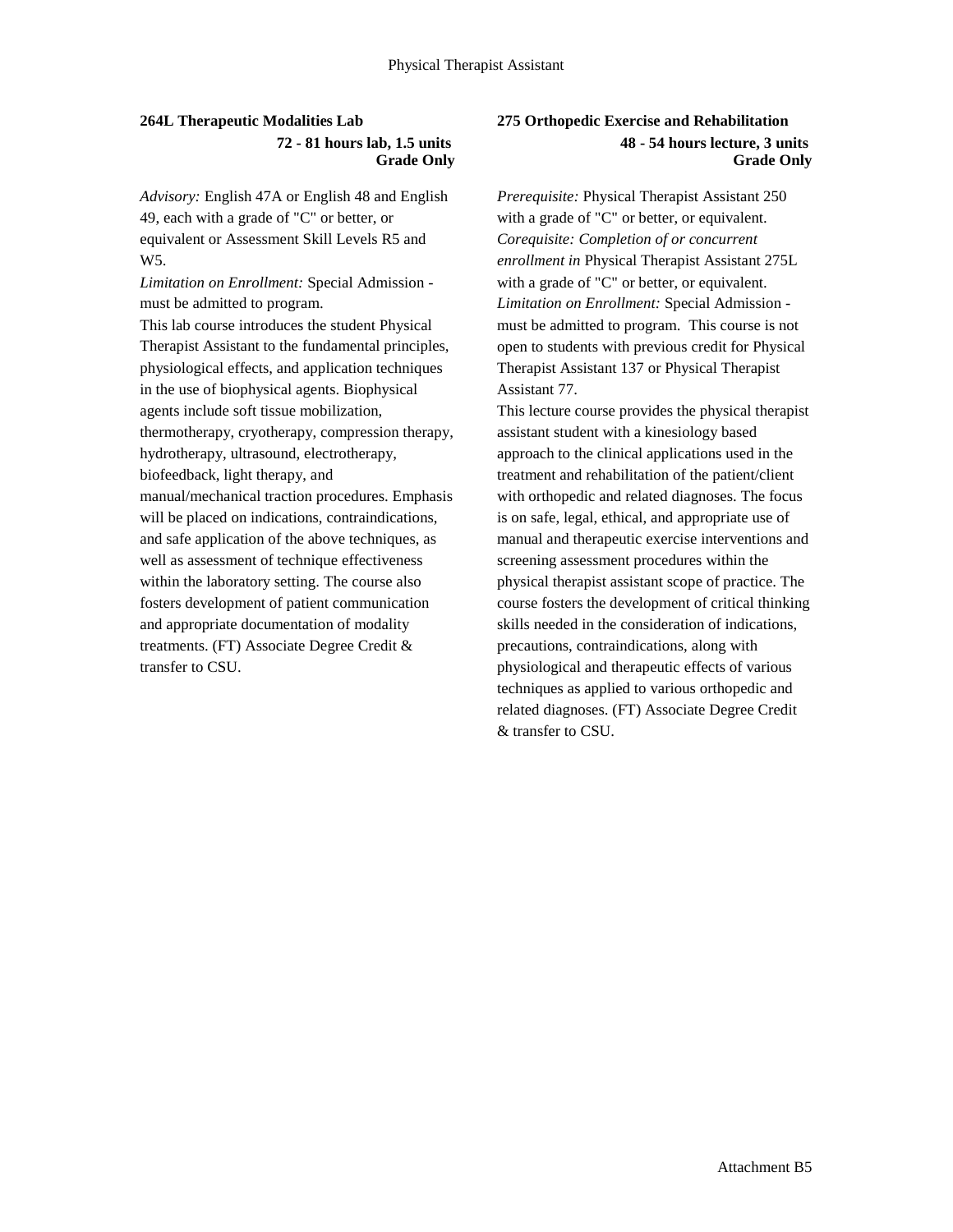### **264L Therapeutic Modalities Lab 72 - 81 hours lab, 1.5 units Grade Only**

*Advisory:* English 47A or English 48 and English 49, each with a grade of "C" or better, or equivalent or Assessment Skill Levels R5 and W5.

*Limitation on Enrollment:* Special Admission must be admitted to program. This lab course introduces the student Physical Therapist Assistant to the fundamental principles, physiological effects, and application techniques in the use of biophysical agents. Biophysical agents include soft tissue mobilization, thermotherapy, cryotherapy, compression therapy, hydrotherapy, ultrasound, electrotherapy, biofeedback, light therapy, and manual/mechanical traction procedures. Emphasis will be placed on indications, contraindications, and safe application of the above techniques, as well as assessment of technique effectiveness within the laboratory setting. The course also fosters development of patient communication and appropriate documentation of modality treatments. (FT) Associate Degree Credit & transfer to CSU.

### **275 Orthopedic Exercise and Rehabilitation 48 - 54 hours lecture, 3 units Grade Only**

*Prerequisite:* Physical Therapist Assistant 250 with a grade of "C" or better, or equivalent. *Corequisite: Completion of or concurrent enrollment in* Physical Therapist Assistant 275L with a grade of "C" or better, or equivalent. *Limitation on Enrollment:* Special Admission must be admitted to program. This course is not open to students with previous credit for Physical Therapist Assistant 137 or Physical Therapist Assistant 77.

This lecture course provides the physical therapist assistant student with a kinesiology based approach to the clinical applications used in the treatment and rehabilitation of the patient/client with orthopedic and related diagnoses. The focus is on safe, legal, ethical, and appropriate use of manual and therapeutic exercise interventions and screening assessment procedures within the physical therapist assistant scope of practice. The course fosters the development of critical thinking skills needed in the consideration of indications, precautions, contraindications, along with physiological and therapeutic effects of various techniques as applied to various orthopedic and related diagnoses. (FT) Associate Degree Credit & transfer to CSU.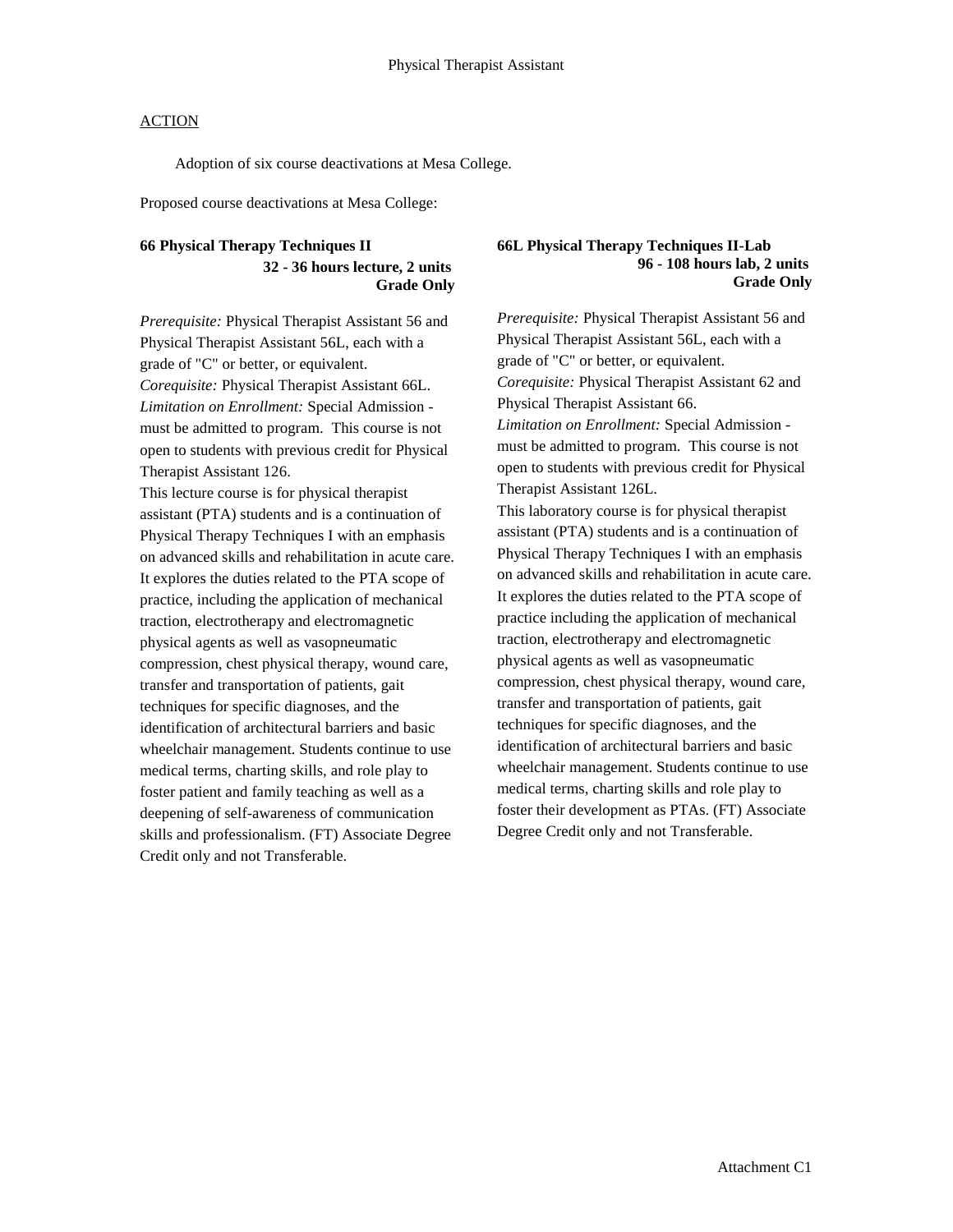Adoption of six course deactivations at Mesa College.

Proposed course deactivations at Mesa College:

### **66 Physical Therapy Techniques II 32 - 36 hours lecture, 2 units Grade Only**

*Prerequisite:* Physical Therapist Assistant 56 and Physical Therapist Assistant 56L, each with a grade of "C" or better, or equivalent. *Corequisite:* Physical Therapist Assistant 66L. *Limitation on Enrollment:* Special Admission must be admitted to program. This course is not open to students with previous credit for Physical Therapist Assistant 126.

This lecture course is for physical therapist assistant (PTA) students and is a continuation of Physical Therapy Techniques I with an emphasis on advanced skills and rehabilitation in acute care. It explores the duties related to the PTA scope of practice, including the application of mechanical traction, electrotherapy and electromagnetic physical agents as well as vasopneumatic compression, chest physical therapy, wound care, transfer and transportation of patients, gait techniques for specific diagnoses, and the identification of architectural barriers and basic wheelchair management. Students continue to use medical terms, charting skills, and role play to foster patient and family teaching as well as a deepening of self-awareness of communication skills and professionalism. (FT) Associate Degree Credit only and not Transferable.

#### **66L Physical Therapy Techniques II-Lab 96 - 108 hours lab, 2 units Grade Only**

*Prerequisite:* Physical Therapist Assistant 56 and Physical Therapist Assistant 56L, each with a grade of "C" or better, or equivalent. *Corequisite:* Physical Therapist Assistant 62 and Physical Therapist Assistant 66. *Limitation on Enrollment:* Special Admission must be admitted to program. This course is not open to students with previous credit for Physical Therapist Assistant 126L. This laboratory course is for physical therapist assistant (PTA) students and is a continuation of Physical Therapy Techniques I with an emphasis on advanced skills and rehabilitation in acute care. It explores the duties related to the PTA scope of practice including the application of mechanical traction, electrotherapy and electromagnetic physical agents as well as vasopneumatic compression, chest physical therapy, wound care, transfer and transportation of patients, gait techniques for specific diagnoses, and the identification of architectural barriers and basic wheelchair management. Students continue to use medical terms, charting skills and role play to foster their development as PTAs. (FT) Associate Degree Credit only and not Transferable.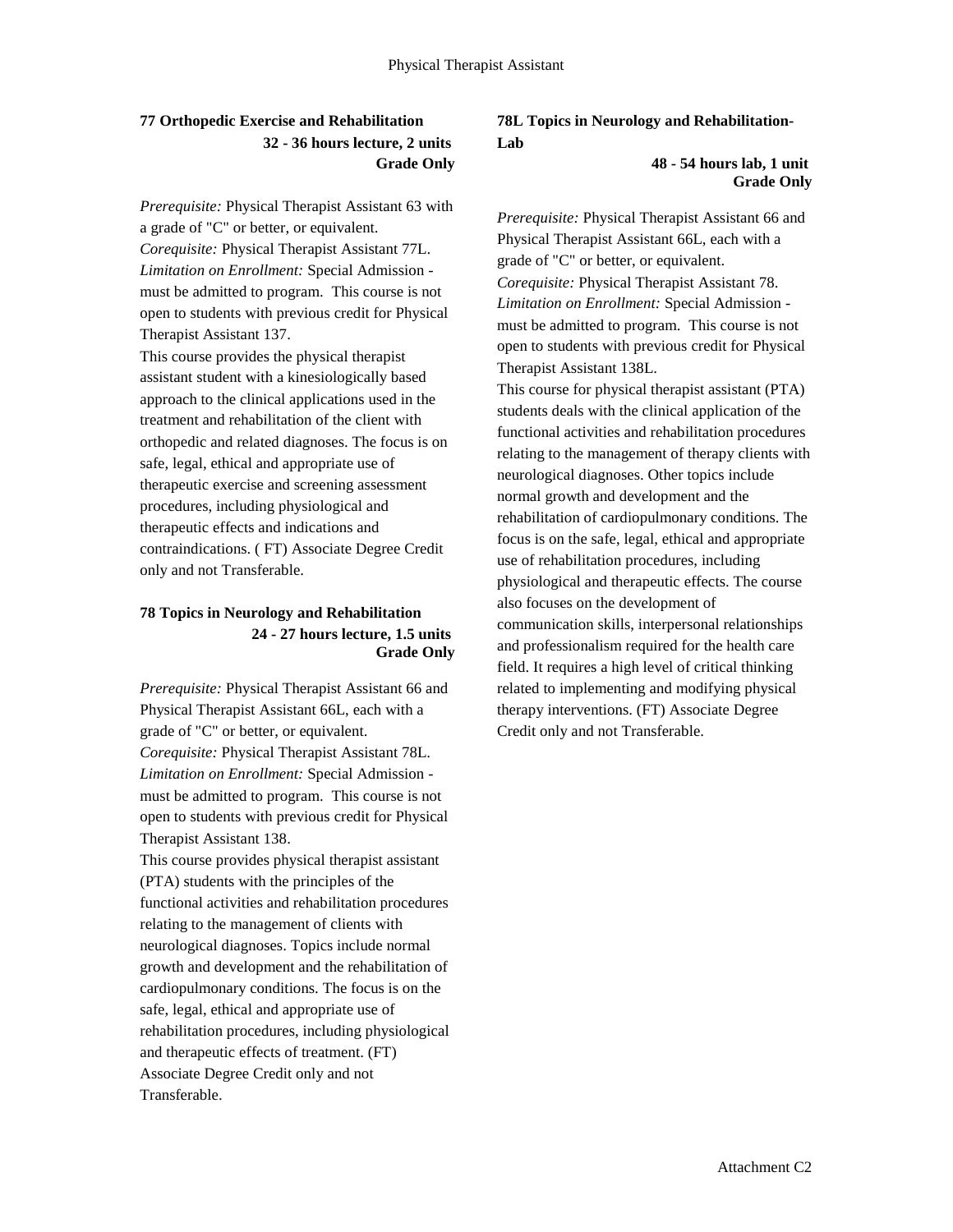# **77 Orthopedic Exercise and Rehabilitation 32 - 36 hours lecture, 2 units Grade Only**

*Prerequisite:* Physical Therapist Assistant 63 with a grade of "C" or better, or equivalent. *Corequisite:* Physical Therapist Assistant 77L. *Limitation on Enrollment:* Special Admission must be admitted to program. This course is not open to students with previous credit for Physical Therapist Assistant 137.

This course provides the physical therapist assistant student with a kinesiologically based approach to the clinical applications used in the treatment and rehabilitation of the client with orthopedic and related diagnoses. The focus is on safe, legal, ethical and appropriate use of therapeutic exercise and screening assessment procedures, including physiological and therapeutic effects and indications and contraindications. ( FT) Associate Degree Credit only and not Transferable.

### **78 Topics in Neurology and Rehabilitation 24 - 27 hours lecture, 1.5 units Grade Only**

*Prerequisite:* Physical Therapist Assistant 66 and Physical Therapist Assistant 66L, each with a grade of "C" or better, or equivalent. *Corequisite:* Physical Therapist Assistant 78L. *Limitation on Enrollment:* Special Admission must be admitted to program. This course is not open to students with previous credit for Physical Therapist Assistant 138. This course provides physical therapist assistant (PTA) students with the principles of the functional activities and rehabilitation procedures relating to the management of clients with neurological diagnoses. Topics include normal growth and development and the rehabilitation of cardiopulmonary conditions. The focus is on the safe, legal, ethical and appropriate use of rehabilitation procedures, including physiological and therapeutic effects of treatment. (FT) Associate Degree Credit only and not Transferable.

# **78L Topics in Neurology and Rehabilitation-Lab**

#### **48 - 54 hours lab, 1 unit Grade Only**

*Prerequisite:* Physical Therapist Assistant 66 and Physical Therapist Assistant 66L, each with a grade of "C" or better, or equivalent. *Corequisite:* Physical Therapist Assistant 78. *Limitation on Enrollment:* Special Admission must be admitted to program. This course is not open to students with previous credit for Physical Therapist Assistant 138L.

This course for physical therapist assistant (PTA) students deals with the clinical application of the functional activities and rehabilitation procedures relating to the management of therapy clients with neurological diagnoses. Other topics include normal growth and development and the rehabilitation of cardiopulmonary conditions. The focus is on the safe, legal, ethical and appropriate use of rehabilitation procedures, including physiological and therapeutic effects. The course also focuses on the development of communication skills, interpersonal relationships and professionalism required for the health care field. It requires a high level of critical thinking related to implementing and modifying physical therapy interventions. (FT) Associate Degree Credit only and not Transferable.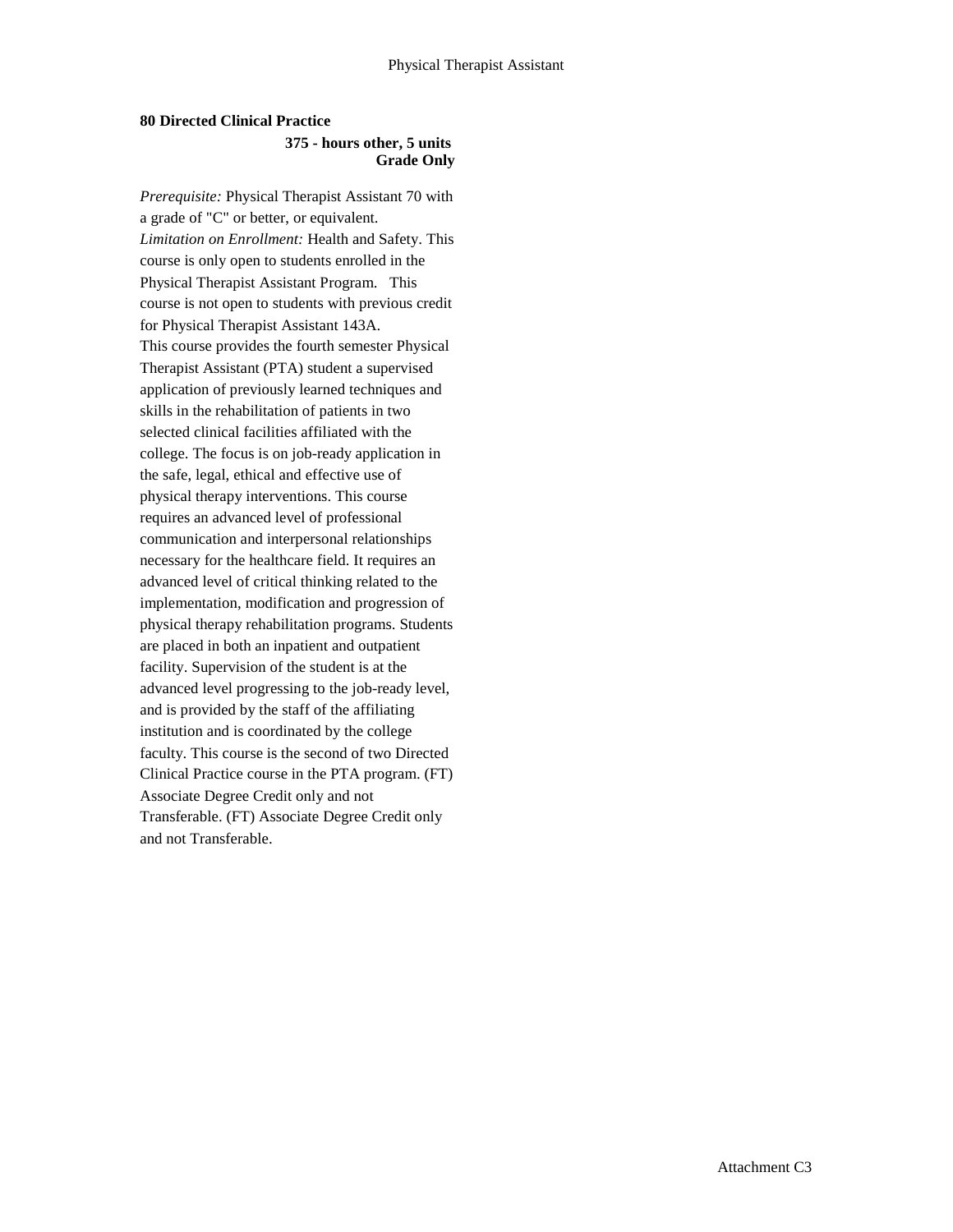#### **80 Directed Clinical Practice 375 - hours other, 5 units Grade Only**

*Prerequisite:* Physical Therapist Assistant 70 with a grade of "C" or better, or equivalent. *Limitation on Enrollment:* Health and Safety. This course is only open to students enrolled in the Physical Therapist Assistant Program. This course is not open to students with previous credit for Physical Therapist Assistant 143A. This course provides the fourth semester Physical Therapist Assistant (PTA) student a supervised application of previously learned techniques and skills in the rehabilitation of patients in two selected clinical facilities affiliated with the college. The focus is on job-ready application in the safe, legal, ethical and effective use of physical therapy interventions. This course requires an advanced level of professional communication and interpersonal relationships necessary for the healthcare field. It requires an advanced level of critical thinking related to the implementation, modification and progression of physical therapy rehabilitation programs. Students are placed in both an inpatient and outpatient facility. Supervision of the student is at the advanced level progressing to the job-ready level, and is provided by the staff of the affiliating institution and is coordinated by the college faculty. This course is the second of two Directed Clinical Practice course in the PTA program. (FT) Associate Degree Credit only and not Transferable. (FT) Associate Degree Credit only and not Transferable.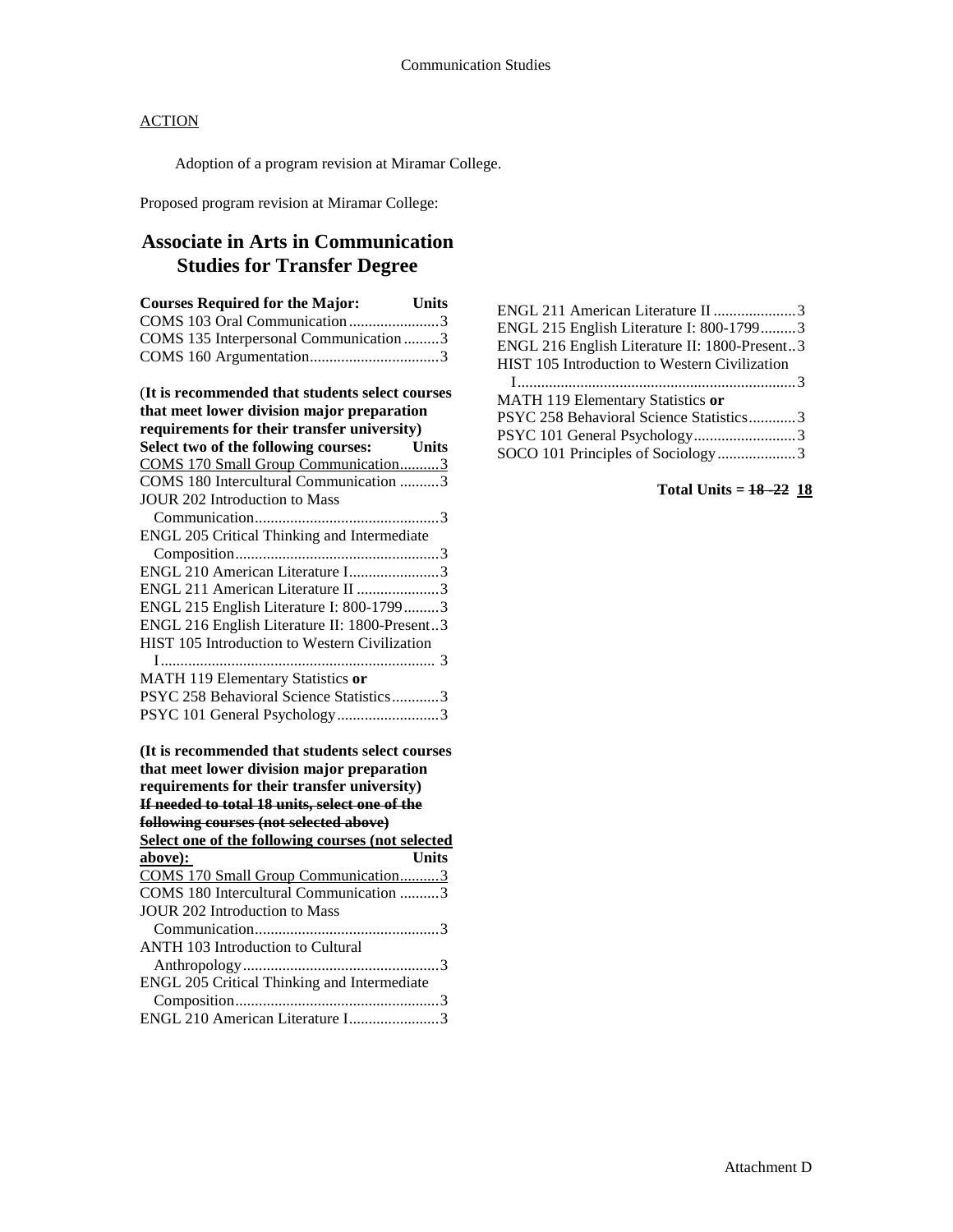Adoption of a program revision at Miramar College.

Proposed program revision at Miramar College:

# **Associate in Arts in Communication Studies for Transfer Degree**

| <b>Courses Required for the Major:</b> Units    |  |
|-------------------------------------------------|--|
| COMS 103 Oral Communication3                    |  |
| COMS 135 Interpersonal Communication 3          |  |
|                                                 |  |
| (It is recommended that students select courses |  |
| that meet lower division major preparation      |  |
| requirements for their transfer university)     |  |
| Select two of the following courses: Units      |  |
| COMS 170 Small Group Communication3             |  |
| COMS 180 Intercultural Communication 3          |  |
| <b>JOUR 202 Introduction to Mass</b>            |  |
|                                                 |  |
| ENGL 205 Critical Thinking and Intermediate     |  |
|                                                 |  |
| ENGL 210 American Literature I3                 |  |
| ENGL 211 American Literature II 3               |  |
| ENGL 215 English Literature I: 800-17993        |  |
| ENGL 216 English Literature II: 1800-Present3   |  |
| HIST 105 Introduction to Western Civilization   |  |
|                                                 |  |
| MATH 119 Elementary Statistics or               |  |
| PSYC 258 Behavioral Science Statistics3         |  |
| PSYC 101 General Psychology3                    |  |
|                                                 |  |
| $\sim$                                          |  |

| (It is recommended that students select courses                                           |  |  |
|-------------------------------------------------------------------------------------------|--|--|
| that meet lower division major preparation<br>requirements for their transfer university) |  |  |
|                                                                                           |  |  |
| following courses (not selected above)                                                    |  |  |
| Select one of the following courses (not selected                                         |  |  |
| above):<br>Units                                                                          |  |  |
| COMS 170 Small Group Communication3                                                       |  |  |
| COMS 180 Intercultural Communication 3                                                    |  |  |
| <b>JOUR 202 Introduction to Mass</b>                                                      |  |  |
|                                                                                           |  |  |
| <b>ANTH 103 Introduction to Cultural</b>                                                  |  |  |
|                                                                                           |  |  |
| ENGL 205 Critical Thinking and Intermediate                                               |  |  |
|                                                                                           |  |  |
| ENGL 210 American Literature I3                                                           |  |  |

| ENGL 211 American Literature II 3<br>ENGL 215 English Literature I: 800-17993<br>ENGL 216 English Literature II: 1800-Present3 |  |
|--------------------------------------------------------------------------------------------------------------------------------|--|
| HIST 105 Introduction to Western Civilization                                                                                  |  |
| MATH 119 Elementary Statistics or                                                                                              |  |
| PSYC 258 Behavioral Science Statistics3                                                                                        |  |
|                                                                                                                                |  |
| SOCO 101 Principles of Sociology3                                                                                              |  |

**Total Units = 18 -22 18**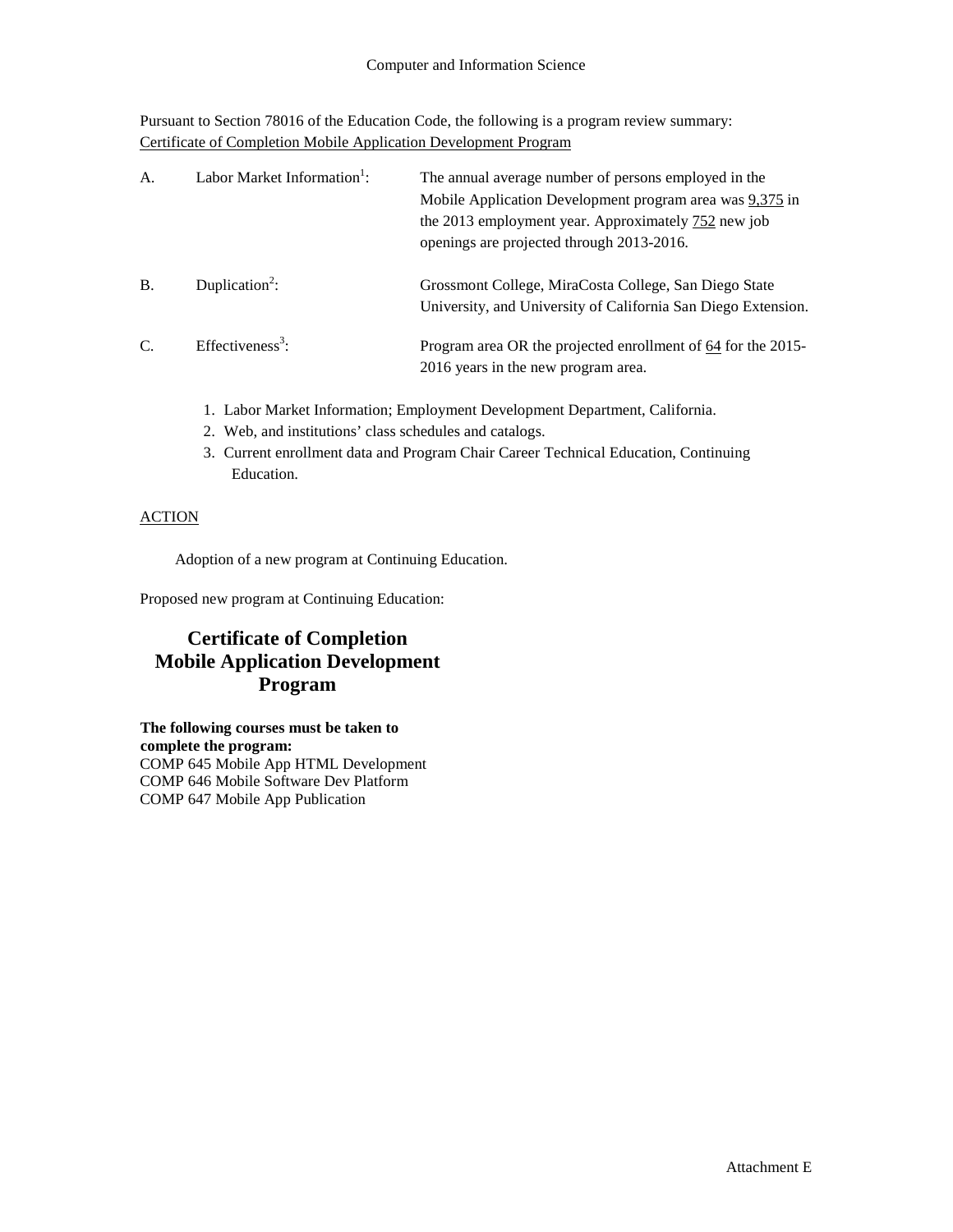Pursuant to Section 78016 of the Education Code, the following is a program review summary: Certificate of Completion Mobile Application Development Program

| A.        | Labor Market Information <sup>1</sup> : | The annual average number of persons employed in the<br>Mobile Application Development program area was 9,375 in<br>the 2013 employment year. Approximately 752 new job<br>openings are projected through 2013-2016. |
|-----------|-----------------------------------------|----------------------------------------------------------------------------------------------------------------------------------------------------------------------------------------------------------------------|
| <b>B.</b> | Duplication <sup>2</sup> :              | Grossmont College, MiraCosta College, San Diego State<br>University, and University of California San Diego Extension.                                                                                               |
| C.        | Effectiveness <sup>3</sup> :            | Program area OR the projected enrollment of 64 for the 2015-<br>2016 years in the new program area.                                                                                                                  |

- 1. Labor Market Information; Employment Development Department, California.
- 2. Web, and institutions' class schedules and catalogs.
- 3. Current enrollment data and Program Chair Career Technical Education, Continuing Education.

# **ACTION**

Adoption of a new program at Continuing Education.

Proposed new program at Continuing Education:

# **Certificate of Completion Mobile Application Development Program**

**The following courses must be taken to complete the program:** COMP 645 Mobile App HTML Development COMP 646 Mobile Software Dev Platform COMP 647 Mobile App Publication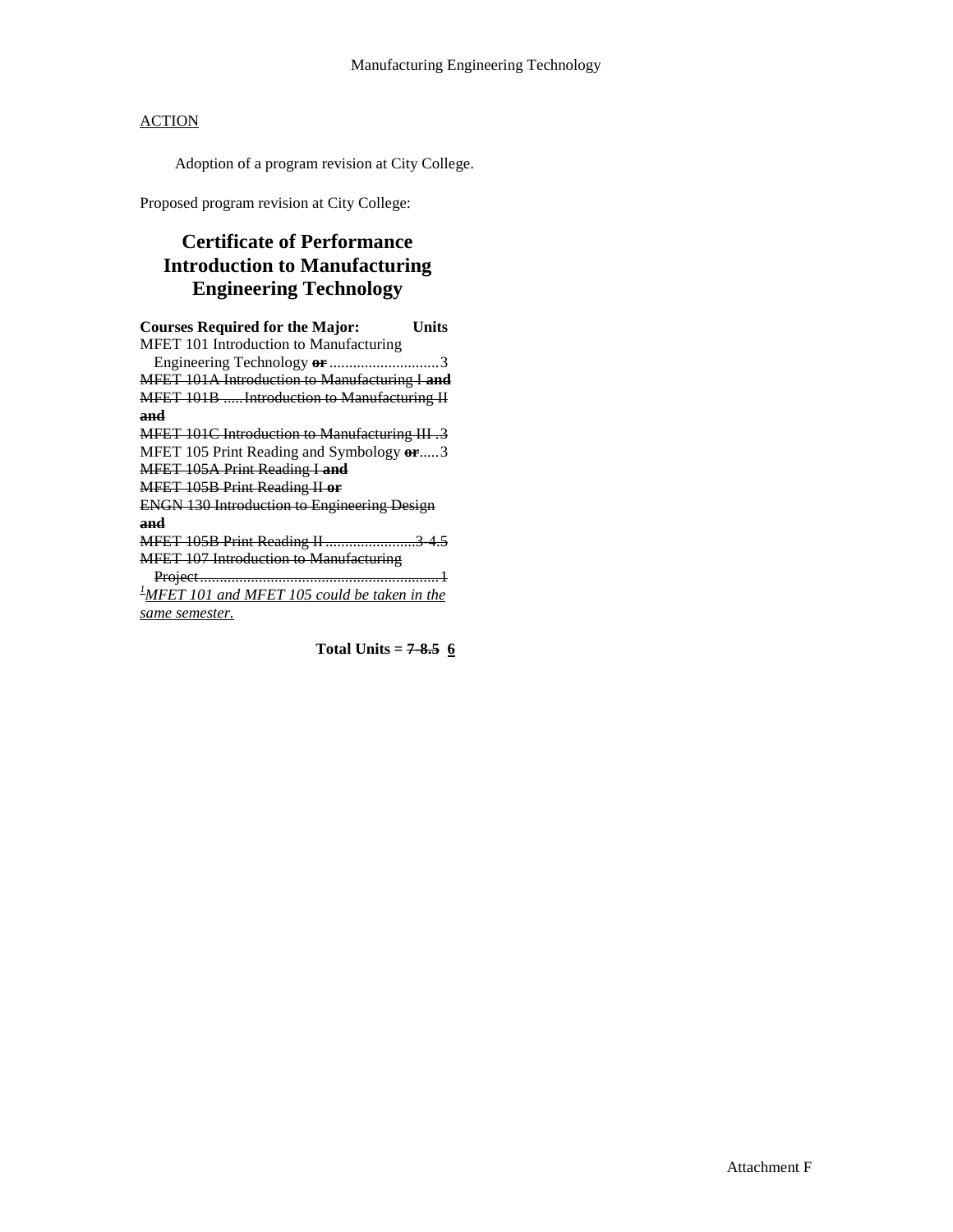Adoption of a program revision at City College.

Proposed program revision at City College:

# **Certificate of Performance Introduction to Manufacturing Engineering Technology**

| <b>Courses Required for the Major:</b>                    | Units |
|-----------------------------------------------------------|-------|
| MFET 101 Introduction to Manufacturing                    |       |
|                                                           |       |
| MFET 101A Introduction to Manufacturing I and             |       |
| MFET 101B Introduction to Manufacturing II                |       |
| and                                                       |       |
| <b>MFET 101C Introduction to Manufacturing III.3</b>      |       |
| MFET 105 Print Reading and Symbology or3                  |       |
| MFET 105A Print Reading I and                             |       |
| <b>MFET 105B Print Reading II or</b>                      |       |
| <b>ENGN 130 Introduction to Engineering Design</b>        |       |
| and                                                       |       |
| MFET 105B Print Reading II 3 4.5                          |       |
| <b>MFET 107 Introduction to Manufacturing</b>             |       |
|                                                           |       |
| $\frac{1}{2}$ MFET 101 and MFET 105 could be taken in the |       |
| same semester.                                            |       |

**Total Units = 7-8.5 6**